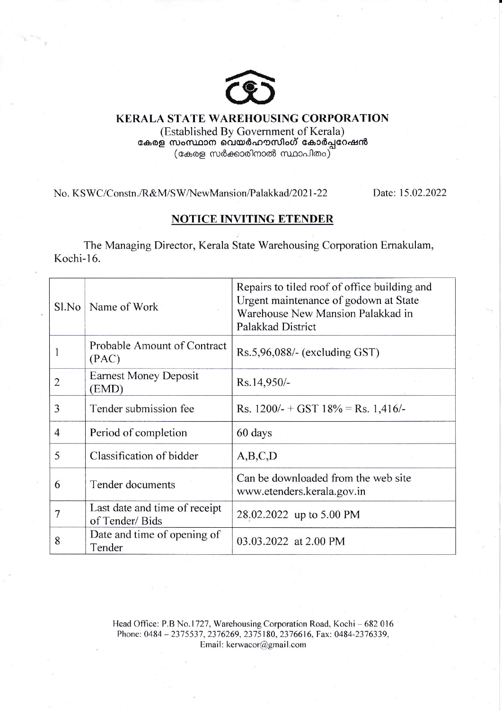

KERALA STATE WAREHOUSING CORPORATION (Established By Government of Kerala) കേരള സംസ്ഥാന വെയർഹൗസിംഗ് കോർപ്പറേഷൻ (കേരള സർക്കാരിനാൽ സ്ഥാപിതം)

No. KSWC/Constn./R&M/SW/NewMansion/Palakkad/2021-22 Date: 15.02.2022

## NOTICE INVITING ETENDER

The Managing Director, Kerala State Warehousing Corporation Emakulam, Kochi-16.

| Sl.No          | Name of Work                                    | Repairs to tiled roof of office building and<br>Urgent maintenance of godown at State<br>Warehouse New Mansion Palakkad in<br>Palakkad District |  |  |
|----------------|-------------------------------------------------|-------------------------------------------------------------------------------------------------------------------------------------------------|--|--|
|                | Probable Amount of Contract<br>(PAC)            | $Rs.5,96,088/-$ (excluding GST)                                                                                                                 |  |  |
| $\overline{2}$ | <b>Earnest Money Deposit</b><br>(EMD)           | Rs.14,950/-                                                                                                                                     |  |  |
| 3              | Tender submission fee                           | Rs. $1200/- + GST$ 18% = Rs. 1,416/-                                                                                                            |  |  |
| $\overline{4}$ | Period of completion                            | 60 days                                                                                                                                         |  |  |
| 5              | Classification of bidder                        | A,B,C,D                                                                                                                                         |  |  |
| 6              | Tender documents                                | Can be downloaded from the web site<br>www.etenders.kerala.gov.in                                                                               |  |  |
| 7              | Last date and time of receipt<br>of Tender/Bids | 28.02.2022 up to 5.00 PM                                                                                                                        |  |  |
| 8              | Date and time of opening of<br>Tender           | 03.03.2022 at 2.00 PM                                                                                                                           |  |  |

Head Office: P.B No.1727, Warehousing Corporation Road, Kochi - 682 016 Phone: 0484 - 2375537, 2376269, 2375180, 2376616, Fax: 0484-2376339, Email: kerwacor@gmail.com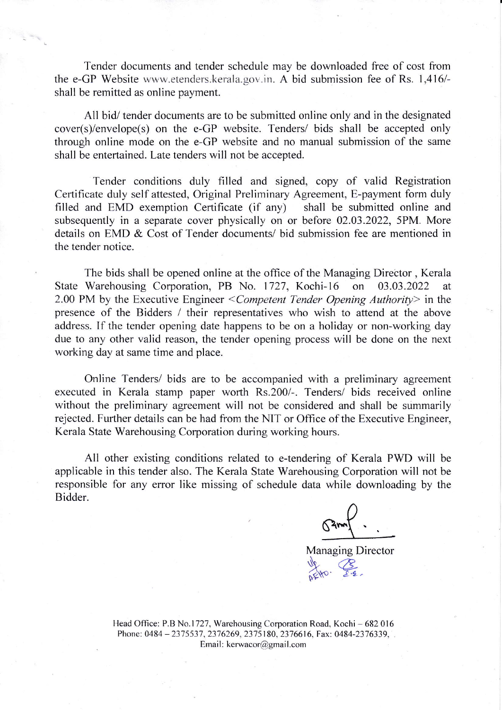Tender documents and tender schedule may be downloaded free of cost fiom the e-GP Website www.etenders. kerala.gov.in. A bid submission fee of Rs. 1,416/shall be remitted as online payment.

All bid/ tender documents are to be submitted online only and in the designated cover(s)/envelope(s) on the e-GP website. Tenders/ bids shall be accepted only through online mode on the e-GP website and no manual submission of the same shall be entertained. Late tenders will not be accepted.

Tender conditions duly filled and signed, copy of valid Registration Certificate duly self attested, Original Preliminary Agreement, E-payment form duly filled and EMD exemption Certificate (if any) shall be submitted online and subsequently in a separate cover physically on or before 02.03.2022, 5PM. More details on EMD & Cost of Tender documents/ bid submission fee are mentioned in the tender notice.

The bids shall be opened online at the office of the Managing Director, Kerala State Warehousing Corporation, PB No. 1727, Kochi-16 on 03.03.2022 at 2.00 PM by the Executive Engineer < Competent Tender Opening Authority> in the presence of the Bidders / their representatives who wish to attend at the above address. If the tender opening date happens to be on a holiday or non-working day due to any other valid reason, the tender opening process will be done on the next working day at same time and place.

Online Tenders/ bids are to be accompanied with a preliminary agreement executed in Kerala stamp paper worth Rs.200/-. Tenders/ bids received online without the preliminary agreement will not be considered and shall be summarily rejected. Further details can be had from the NIT or Office of the Executive Engineer, Kerala State Warehousing Corporation during working hours.

All other existing conditions related to e-tendering of Kerala PWD wilt be applicable in this tender also. The Kerala State Warehousing Corporation will not be responsible for any error like missing of schedule data while downloading by the Bidder.

Managing Director  $\psi$  $AFH_0$ .

Head Office: P.B No.1727, Warehousing Corporation Road, Kochi - 682 016 Phone: 0484 - 2375537, 2376269, 2375 180, 23766 16, Fax: 0484-2376339, Email: kerwacor@gmail.com